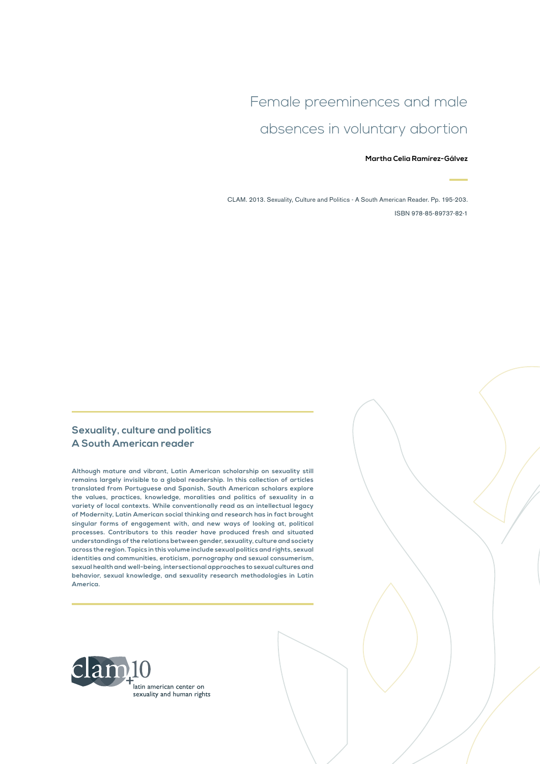## Female preeminences and male absences in voluntary abortion

#### **Martha Celia Ramírez-Gálvez**

CLAM. 2013. Sexuality, Culture and Politics - A South American Reader. Pp. 195-203. ISBN 978-85-89737-82-1

#### **Sexuality, culture and politics A South American reader**

**Although mature and vibrant, Latin American scholarship on sexuality still remains largely invisible to a global readership. In this collection of articles translated from Portuguese and Spanish, South American scholars explore the values, practices, knowledge, moralities and politics of sexuality in a variety of local contexts. While conventionally read as an intellectual legacy of Modernity, Latin American social thinking and research has in fact brought singular forms of engagement with, and new ways of looking at, political processes. Contributors to this reader have produced fresh and situated understandings of the relations between gender, sexuality, culture and society across the region. Topics in this volume include sexual politics and rights, sexual identities and communities, eroticism, pornography and sexual consumerism, sexual health and well-being, intersectional approaches to sexual cultures and behavior, sexual knowledge, and sexuality research methodologies in Latin America.**

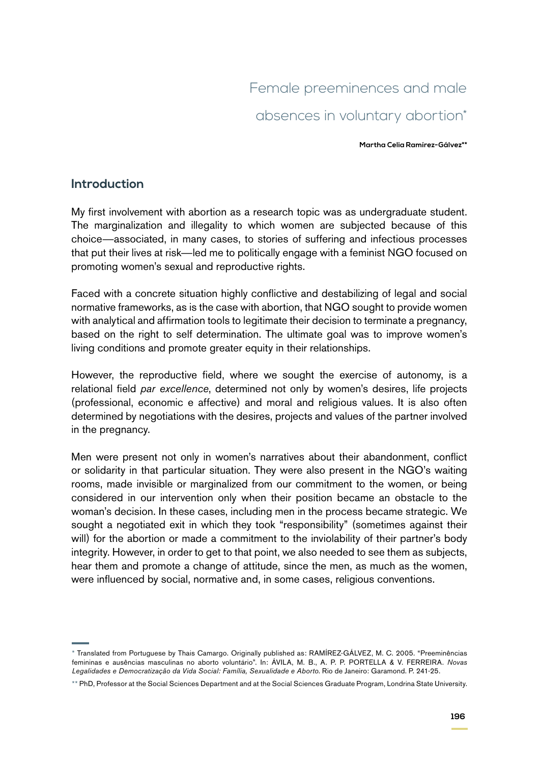# Female preeminences and male absences in voluntary abortion\*

**Martha Celia Ramírez-Gálvez\*\***

#### **Introduction**

My first involvement with abortion as a research topic was as undergraduate student. The marginalization and illegality to which women are subjected because of this choice—associated, in many cases, to stories of suffering and infectious processes that put their lives at risk—led me to politically engage with a feminist NGO focused on promoting women's sexual and reproductive rights.

Faced with a concrete situation highly conflictive and destabilizing of legal and social normative frameworks, as is the case with abortion, that NGO sought to provide women with analytical and affirmation tools to legitimate their decision to terminate a pregnancy, based on the right to self determination. The ultimate goal was to improve women's living conditions and promote greater equity in their relationships.

However, the reproductive field, where we sought the exercise of autonomy, is a relational field *par excellence*, determined not only by women's desires, life projects (professional, economic e affective) and moral and religious values. It is also often determined by negotiations with the desires, projects and values of the partner involved in the pregnancy.

Men were present not only in women's narratives about their abandonment, conflict or solidarity in that particular situation. They were also present in the NGO's waiting rooms, made invisible or marginalized from our commitment to the women, or being considered in our intervention only when their position became an obstacle to the woman's decision. In these cases, including men in the process became strategic. We sought a negotiated exit in which they took "responsibility" (sometimes against their will) for the abortion or made a commitment to the inviolability of their partner's body integrity. However, in order to get to that point, we also needed to see them as subjects, hear them and promote a change of attitude, since the men, as much as the women, were influenced by social, normative and, in some cases, religious conventions.

<sup>\*</sup> Translated from Portuguese by Thais Camargo. Originally published as: RAMÍREZ-GÁLVEZ, M. C. 2005. "Preeminências femininas e ausências masculinas no aborto voluntário". In: ÁVILA, M. B., A. P. P. PORTELLA & V. FERREIRA. *Novas Legalidades e Democratização da Vida Social: Família, Sexualidade e Aborto*. Rio de Janeiro: Garamond. P. 241-25.

<sup>\*\*</sup> PhD, Professor at the Social Sciences Department and at the Social Sciences Graduate Program, Londrina State University.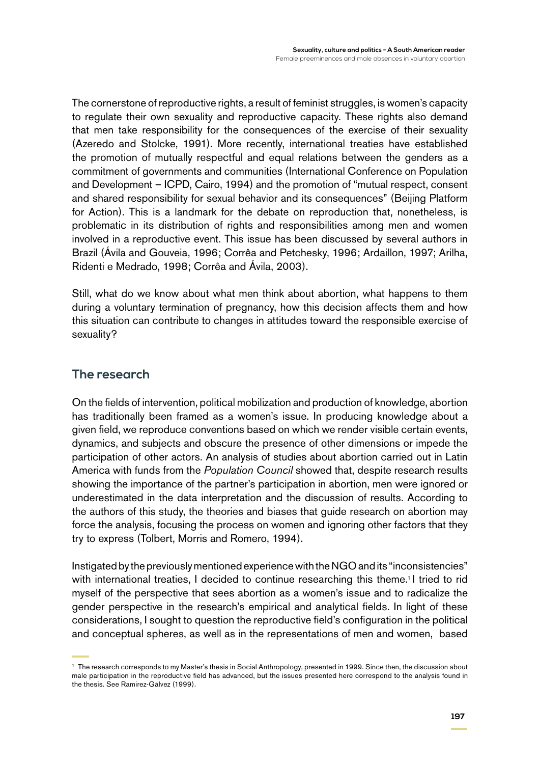The cornerstone of reproductive rights, a result of feminist struggles, is women's capacity to regulate their own sexuality and reproductive capacity. These rights also demand that men take responsibility for the consequences of the exercise of their sexuality (Azeredo and Stolcke, 1991). More recently, international treaties have established the promotion of mutually respectful and equal relations between the genders as a commitment of governments and communities (International Conference on Population and Development – ICPD, Cairo, 1994) and the promotion of "mutual respect, consent and shared responsibility for sexual behavior and its consequences" (Beijing Platform for Action). This is a landmark for the debate on reproduction that, nonetheless, is problematic in its distribution of rights and responsibilities among men and women involved in a reproductive event. This issue has been discussed by several authors in Brazil (Ávila and Gouveia, 1996; Corrêa and Petchesky, 1996; Ardaillon, 1997; Arilha, Ridenti e Medrado, 1998; Corrêa and Ávila, 2003).

Still, what do we know about what men think about abortion, what happens to them during a voluntary termination of pregnancy, how this decision affects them and how this situation can contribute to changes in attitudes toward the responsible exercise of sexuality?

### **The research**

On the fields of intervention, political mobilization and production of knowledge, abortion has traditionally been framed as a women's issue. In producing knowledge about a given field, we reproduce conventions based on which we render visible certain events, dynamics, and subjects and obscure the presence of other dimensions or impede the participation of other actors. An analysis of studies about abortion carried out in Latin America with funds from the *Population Council* showed that, despite research results showing the importance of the partner's participation in abortion, men were ignored or underestimated in the data interpretation and the discussion of results. According to the authors of this study, the theories and biases that guide research on abortion may force the analysis, focusing the process on women and ignoring other factors that they try to express (Tolbert, Morris and Romero, 1994).

Instigated by the previously mentioned experience with the NGO and its "inconsistencies" with international treaties, I decided to continue researching this theme.<sup>1</sup> I tried to rid myself of the perspective that sees abortion as a women's issue and to radicalize the gender perspective in the research's empirical and analytical fields. In light of these considerations, I sought to question the reproductive field's configuration in the political and conceptual spheres, as well as in the representations of men and women, based

<sup>1</sup> The research corresponds to my Master's thesis in Social Anthropology, presented in 1999. Since then, the discussion about male participation in the reproductive field has advanced, but the issues presented here correspond to the analysis found in the thesis. See Ramirez-Gálvez (1999).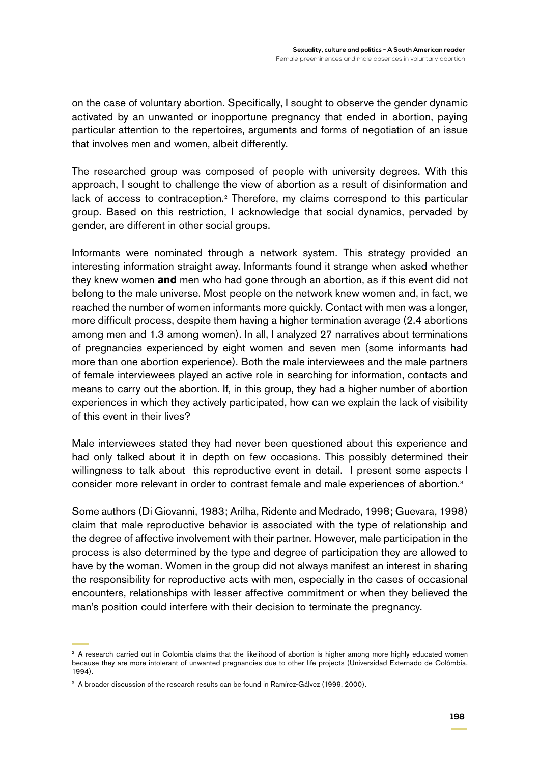on the case of voluntary abortion. Specifically, I sought to observe the gender dynamic activated by an unwanted or inopportune pregnancy that ended in abortion, paying particular attention to the repertoires, arguments and forms of negotiation of an issue that involves men and women, albeit differently.

The researched group was composed of people with university degrees. With this approach, I sought to challenge the view of abortion as a result of disinformation and lack of access to contraception.<sup>2</sup> Therefore, my claims correspond to this particular group. Based on this restriction, I acknowledge that social dynamics, pervaded by gender, are different in other social groups.

Informants were nominated through a network system. This strategy provided an interesting information straight away. Informants found it strange when asked whether they knew women **and** men who had gone through an abortion, as if this event did not belong to the male universe. Most people on the network knew women and, in fact, we reached the number of women informants more quickly. Contact with men was a longer, more difficult process, despite them having a higher termination average (2.4 abortions among men and 1.3 among women). In all, I analyzed 27 narratives about terminations of pregnancies experienced by eight women and seven men (some informants had more than one abortion experience). Both the male interviewees and the male partners of female interviewees played an active role in searching for information, contacts and means to carry out the abortion. If, in this group, they had a higher number of abortion experiences in which they actively participated, how can we explain the lack of visibility of this event in their lives?

Male interviewees stated they had never been questioned about this experience and had only talked about it in depth on few occasions. This possibly determined their willingness to talk about this reproductive event in detail. I present some aspects I consider more relevant in order to contrast female and male experiences of abortion.3

Some authors (Di Giovanni, 1983; Arilha, Ridente and Medrado, 1998; Guevara, 1998) claim that male reproductive behavior is associated with the type of relationship and the degree of affective involvement with their partner. However, male participation in the process is also determined by the type and degree of participation they are allowed to have by the woman. Women in the group did not always manifest an interest in sharing the responsibility for reproductive acts with men, especially in the cases of occasional encounters, relationships with lesser affective commitment or when they believed the man's position could interfere with their decision to terminate the pregnancy.

<sup>&</sup>lt;sup>2</sup> A research carried out in Colombia claims that the likelihood of abortion is higher among more highly educated women because they are more intolerant of unwanted pregnancies due to other life projects (Universidad Externado de Colômbia, 1994).

<sup>&</sup>lt;sup>3</sup> A broader discussion of the research results can be found in Ramírez-Gálvez (1999, 2000).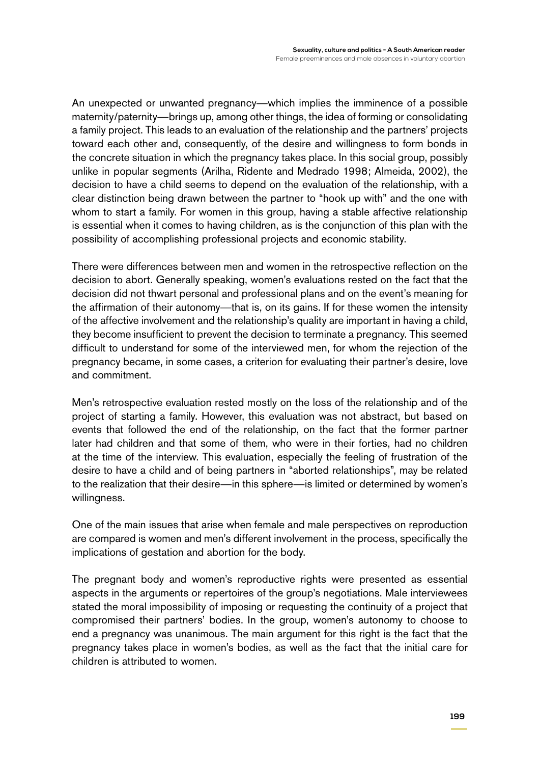An unexpected or unwanted pregnancy—which implies the imminence of a possible maternity/paternity—brings up, among other things, the idea of forming or consolidating a family project. This leads to an evaluation of the relationship and the partners' projects toward each other and, consequently, of the desire and willingness to form bonds in the concrete situation in which the pregnancy takes place. In this social group, possibly unlike in popular segments (Arilha, Ridente and Medrado 1998; Almeida, 2002), the decision to have a child seems to depend on the evaluation of the relationship, with a clear distinction being drawn between the partner to "hook up with" and the one with whom to start a family. For women in this group, having a stable affective relationship is essential when it comes to having children, as is the conjunction of this plan with the possibility of accomplishing professional projects and economic stability.

There were differences between men and women in the retrospective reflection on the decision to abort. Generally speaking, women's evaluations rested on the fact that the decision did not thwart personal and professional plans and on the event's meaning for the affirmation of their autonomy—that is, on its gains. If for these women the intensity of the affective involvement and the relationship's quality are important in having a child, they become insufficient to prevent the decision to terminate a pregnancy. This seemed difficult to understand for some of the interviewed men, for whom the rejection of the pregnancy became, in some cases, a criterion for evaluating their partner's desire, love and commitment.

Men's retrospective evaluation rested mostly on the loss of the relationship and of the project of starting a family. However, this evaluation was not abstract, but based on events that followed the end of the relationship, on the fact that the former partner later had children and that some of them, who were in their forties, had no children at the time of the interview. This evaluation, especially the feeling of frustration of the desire to have a child and of being partners in "aborted relationships", may be related to the realization that their desire—in this sphere—is limited or determined by women's willingness.

One of the main issues that arise when female and male perspectives on reproduction are compared is women and men's different involvement in the process, specifically the implications of gestation and abortion for the body.

The pregnant body and women's reproductive rights were presented as essential aspects in the arguments or repertoires of the group's negotiations. Male interviewees stated the moral impossibility of imposing or requesting the continuity of a project that compromised their partners' bodies. In the group, women's autonomy to choose to end a pregnancy was unanimous. The main argument for this right is the fact that the pregnancy takes place in women's bodies, as well as the fact that the initial care for children is attributed to women.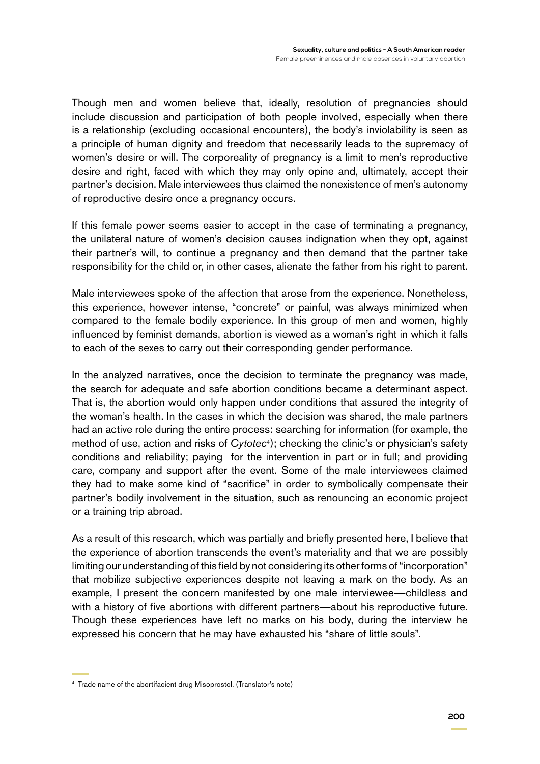Though men and women believe that, ideally, resolution of pregnancies should include discussion and participation of both people involved, especially when there is a relationship (excluding occasional encounters), the body's inviolability is seen as a principle of human dignity and freedom that necessarily leads to the supremacy of women's desire or will. The corporeality of pregnancy is a limit to men's reproductive desire and right, faced with which they may only opine and, ultimately, accept their partner's decision. Male interviewees thus claimed the nonexistence of men's autonomy of reproductive desire once a pregnancy occurs.

If this female power seems easier to accept in the case of terminating a pregnancy, the unilateral nature of women's decision causes indignation when they opt, against their partner's will, to continue a pregnancy and then demand that the partner take responsibility for the child or, in other cases, alienate the father from his right to parent.

Male interviewees spoke of the affection that arose from the experience. Nonetheless, this experience, however intense, "concrete" or painful, was always minimized when compared to the female bodily experience. In this group of men and women, highly influenced by feminist demands, abortion is viewed as a woman's right in which it falls to each of the sexes to carry out their corresponding gender performance.

In the analyzed narratives, once the decision to terminate the pregnancy was made, the search for adequate and safe abortion conditions became a determinant aspect. That is, the abortion would only happen under conditions that assured the integrity of the woman's health. In the cases in which the decision was shared, the male partners had an active role during the entire process: searching for information (for example, the method of use, action and risks of *Cytotec*4); checking the clinic's or physician's safety conditions and reliability; paying for the intervention in part or in full; and providing care, company and support after the event. Some of the male interviewees claimed they had to make some kind of "sacrifice" in order to symbolically compensate their partner's bodily involvement in the situation, such as renouncing an economic project or a training trip abroad.

As a result of this research, which was partially and briefly presented here, I believe that the experience of abortion transcends the event's materiality and that we are possibly limiting our understanding of this field by not considering its other forms of "incorporation" that mobilize subjective experiences despite not leaving a mark on the body. As an example, I present the concern manifested by one male interviewee—childless and with a history of five abortions with different partners—about his reproductive future. Though these experiences have left no marks on his body, during the interview he expressed his concern that he may have exhausted his "share of little souls".

<sup>4</sup> Trade name of the abortifacient drug Misoprostol. (Translator's note)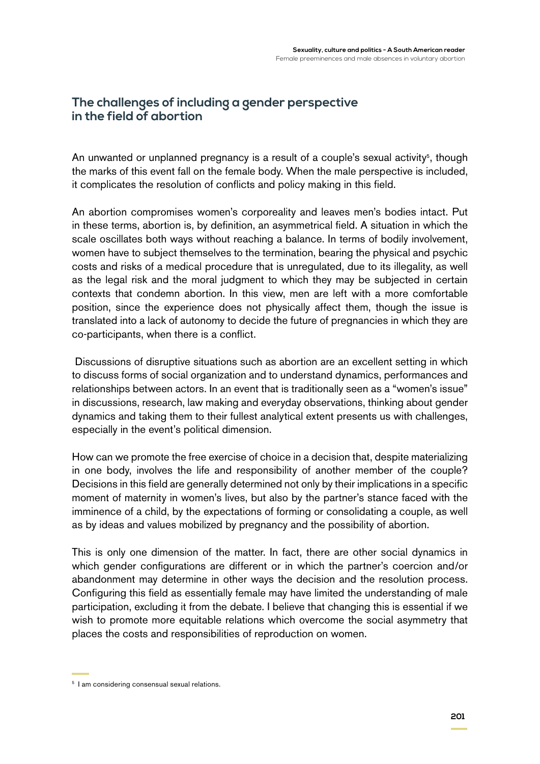### **The challenges of including a gender perspective in the field of abortion**

An unwanted or unplanned pregnancy is a result of a couple's sexual activity<sup>5</sup>, though the marks of this event fall on the female body. When the male perspective is included, it complicates the resolution of conflicts and policy making in this field.

An abortion compromises women's corporeality and leaves men's bodies intact. Put in these terms, abortion is, by definition, an asymmetrical field. A situation in which the scale oscillates both ways without reaching a balance. In terms of bodily involvement, women have to subject themselves to the termination, bearing the physical and psychic costs and risks of a medical procedure that is unregulated, due to its illegality, as well as the legal risk and the moral judgment to which they may be subjected in certain contexts that condemn abortion. In this view, men are left with a more comfortable position, since the experience does not physically affect them, though the issue is translated into a lack of autonomy to decide the future of pregnancies in which they are co-participants, when there is a conflict.

 Discussions of disruptive situations such as abortion are an excellent setting in which to discuss forms of social organization and to understand dynamics, performances and relationships between actors. In an event that is traditionally seen as a "women's issue" in discussions, research, law making and everyday observations, thinking about gender dynamics and taking them to their fullest analytical extent presents us with challenges, especially in the event's political dimension.

How can we promote the free exercise of choice in a decision that, despite materializing in one body, involves the life and responsibility of another member of the couple? Decisions in this field are generally determined not only by their implications in a specific moment of maternity in women's lives, but also by the partner's stance faced with the imminence of a child, by the expectations of forming or consolidating a couple, as well as by ideas and values mobilized by pregnancy and the possibility of abortion.

This is only one dimension of the matter. In fact, there are other social dynamics in which gender configurations are different or in which the partner's coercion and/or abandonment may determine in other ways the decision and the resolution process. Configuring this field as essentially female may have limited the understanding of male participation, excluding it from the debate. I believe that changing this is essential if we wish to promote more equitable relations which overcome the social asymmetry that places the costs and responsibilities of reproduction on women.

<sup>5</sup> I am considering consensual sexual relations.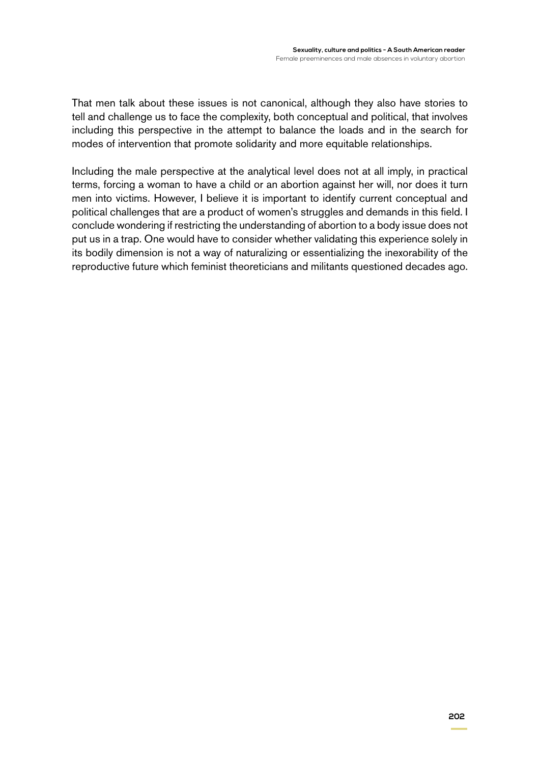That men talk about these issues is not canonical, although they also have stories to tell and challenge us to face the complexity, both conceptual and political, that involves including this perspective in the attempt to balance the loads and in the search for modes of intervention that promote solidarity and more equitable relationships.

Including the male perspective at the analytical level does not at all imply, in practical terms, forcing a woman to have a child or an abortion against her will, nor does it turn men into victims. However, I believe it is important to identify current conceptual and political challenges that are a product of women's struggles and demands in this field. I conclude wondering if restricting the understanding of abortion to a body issue does not put us in a trap. One would have to consider whether validating this experience solely in its bodily dimension is not a way of naturalizing or essentializing the inexorability of the reproductive future which feminist theoreticians and militants questioned decades ago.